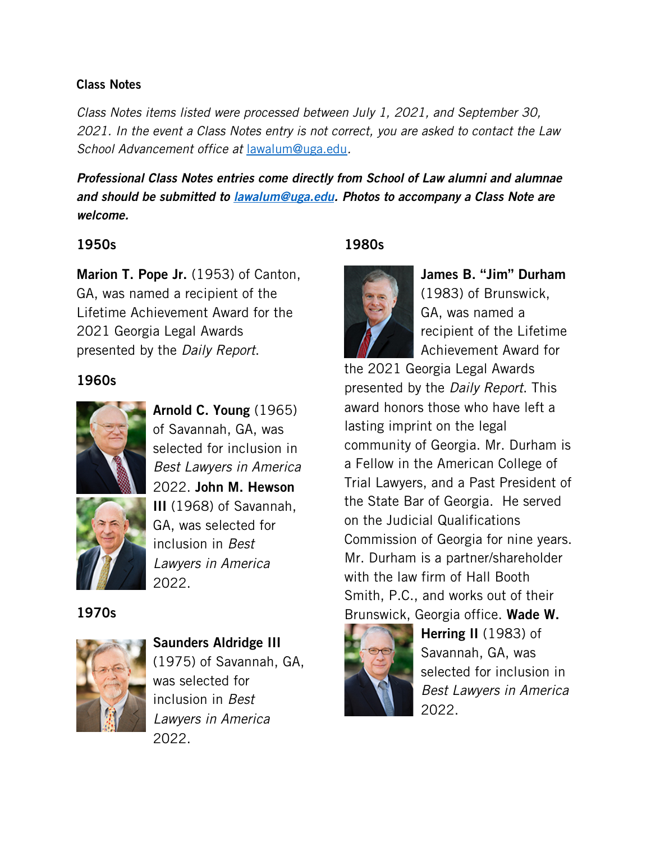### Class Notes

*Class Notes items listed were processed between July 1, 2021, and September 30, 2021. In the event a Class Notes entry is not correct, you are asked to contact the Law School Advancement office at* [lawalum@uga.edu](mailto:lawalum@uga.edu)*.*

*Professional Class Notes entries come directly from School of Law alumni and alumnae and should be submitted to [lawalum@uga.edu.](mailto:lawalum@uga.edu) Photos to accompany a Class Note are welcome.*

# 1950s

Marion T. Pope Jr. (1953) of Canton, GA, was named a recipient of the Lifetime Achievement Award for the 2021 Georgia Legal Awards presented by the *Daily Report*.

# 1960s



Arnold C. Young (1965) of Savannah, GA, was selected for inclusion in *Best Lawyers in America* 2022. John M. Hewson III (1968) of Savannah, GA, was selected for inclusion in *Best Lawyers in America* 2022.

1970s



Saunders Aldridge III (1975) of Savannah, GA, was selected for inclusion in *Best Lawyers in America* 2022.

# 1980s



James B. "Jim" Durham (1983) of Brunswick, GA, was named a recipient of the Lifetime Achievement Award for

the 2021 Georgia Legal Awards presented by the *Daily Report*. This award honors those who have left a lasting imprint on the legal community of Georgia. Mr. Durham is a Fellow in the American College of Trial Lawyers, and a Past President of the State Bar of Georgia. He served on the Judicial Qualifications Commission of Georgia for nine years. Mr. Durham is a partner/shareholder with the law firm of Hall Booth Smith, P.C., and works out of their Brunswick, Georgia office. Wade W.



Herring II (1983) of Savannah, GA, was selected for inclusion in *Best Lawyers in America* 2022.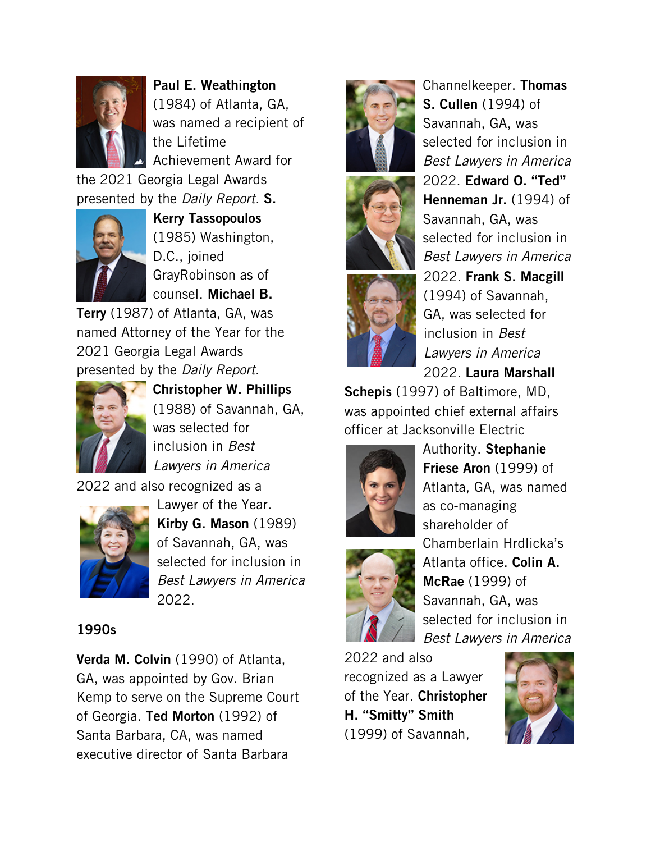

Paul E. Weathington (1984) of Atlanta, GA, was named a recipient of the Lifetime Achievement Award for

the 2021 Georgia Legal Awards presented by the *Daily Report.* S.



Kerry Tassopoulos (1985) Washington, D.C., joined GrayRobinson as of counsel. Michael B.

Terry (1987) of Atlanta, GA, was named Attorney of the Year for the 2021 Georgia Legal Awards presented by the *Daily Report*.



Christopher W. Phillips (1988) of Savannah, GA, was selected for inclusion in *Best Lawyers in America*

2022 and also recognized as a



Lawyer of the Year. Kirby G. Mason (1989) of Savannah, GA, was selected for inclusion in *Best Lawyers in America* 2022.

### 1990s

Verda M. Colvin (1990) of Atlanta, GA, was appointed by Gov. Brian Kemp to serve on the Supreme Court of Georgia. Ted Morton (1992) of Santa Barbara, CA, was named executive director of Santa Barbara







Channelkeeper. Thomas S. Cullen (1994) of Savannah, GA, was selected for inclusion in *Best Lawyers in America* 2022. Edward O. "Ted" Henneman Jr. (1994) of Savannah, GA, was selected for inclusion in *Best Lawyers in America*  2022. Frank S. Macgill (1994) of Savannah, GA, was selected for inclusion in *Best Lawyers in America* 2022. Laura Marshall

Schepis (1997) of Baltimore, MD, was appointed chief external affairs officer at Jacksonville Electric





2022 and also recognized as a Lawyer of the Year. Christopher H. "Smitty" Smith (1999) of Savannah,

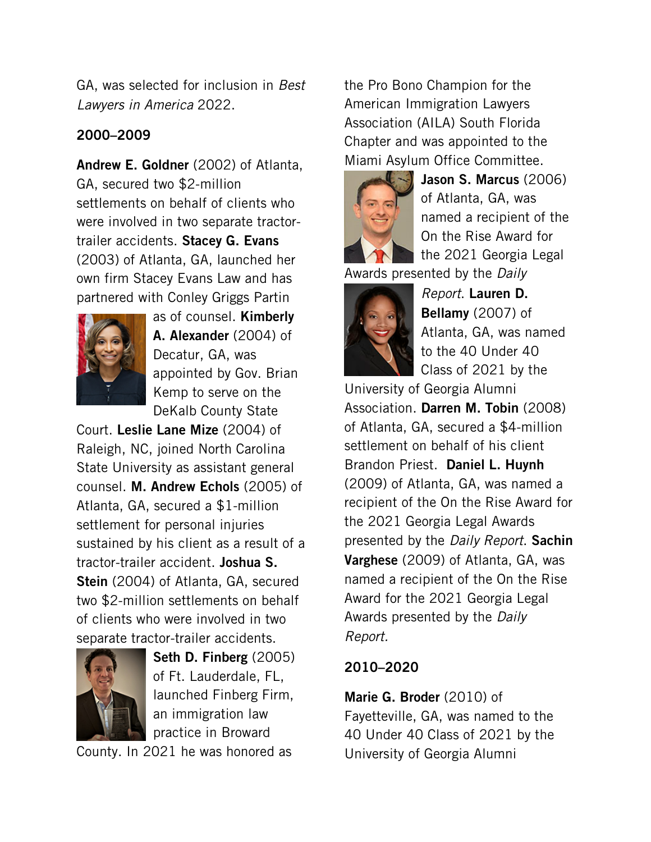GA, was selected for inclusion in *Best Lawyers in America* 2022.

# 2000–2009

Andrew E. Goldner (2002) of Atlanta, GA, secured two \$2-million settlements on behalf of clients who were involved in two separate tractortrailer accidents. Stacey G. Evans (2003) of Atlanta, GA, launched her own firm Stacey Evans Law and has partnered with Conley Griggs Partin



as of counsel. **Kimberly** A. Alexander (2004) of Decatur, GA, was appointed by Gov. Brian Kemp to serve on the DeKalb County State

Court. Leslie Lane Mize (2004) of Raleigh, NC, joined North Carolina State University as assistant general counsel. M. Andrew Echols (2005) of Atlanta, GA, secured a \$1-million settlement for personal injuries sustained by his client as a result of a tractor-trailer accident. Joshua S. Stein (2004) of Atlanta, GA, secured two \$2-million settlements on behalf of clients who were involved in two separate tractor-trailer accidents.



Seth D. Finberg (2005) of Ft. Lauderdale, FL, launched Finberg Firm, an immigration law practice in Broward

County. In 2021 he was honored as

the Pro Bono Champion for the American Immigration Lawyers Association (AILA) South Florida Chapter and was appointed to the Miami Asylum Office Committee.



Jason S. Marcus (2006) of Atlanta, GA, was named a recipient of the On the Rise Award for the 2021 Georgia Legal

Awards presented by the *Daily* 



*Report*. Lauren D. Bellamy (2007) of Atlanta, GA, was named to the 40 Under 40 Class of 2021 by the

University of Georgia Alumni Association. Darren M. Tobin (2008) of Atlanta, GA, secured a \$4-million settlement on behalf of his client Brandon Priest. Daniel L. Huynh (2009) of Atlanta, GA, was named a recipient of the On the Rise Award for the 2021 Georgia Legal Awards presented by the *Daily Report*. Sachin **Varghese** (2009) of Atlanta, GA, was named a recipient of the On the Rise Award for the 2021 Georgia Legal Awards presented by the *Daily Report.* 

# 2010–2020

Marie G. Broder (2010) of Fayetteville, GA, was named to the 40 Under 40 Class of 2021 by the University of Georgia Alumni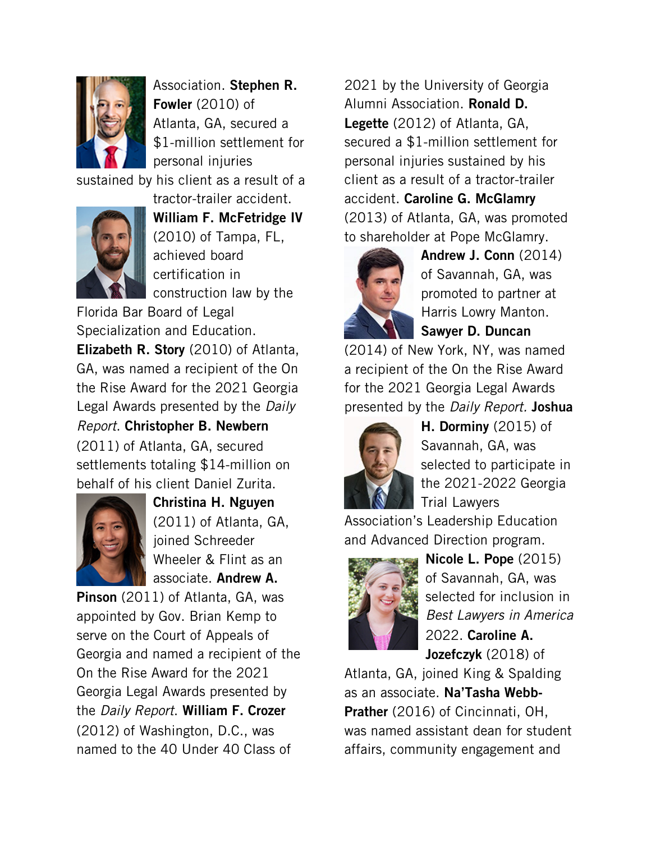

Association. Stephen R. Fowler (2010) of Atlanta, GA, secured a \$1-million settlement for personal injuries

sustained by his client as a result of a



William F. McFetridge IV (2010) of Tampa, FL, achieved board certification in construction law by the

tractor-trailer accident.

Florida Bar Board of Legal Specialization and Education. Elizabeth R. Story (2010) of Atlanta, GA, was named a recipient of the On the Rise Award for the 2021 Georgia Legal Awards presented by the *Daily Report*. Christopher B. Newbern (2011) of Atlanta, GA, secured settlements totaling \$14-million on behalf of his client Daniel Zurita.



Christina H. Nguyen (2011) of Atlanta, GA, joined Schreeder Wheeler & Flint as an associate. Andrew A.

Pinson (2011) of Atlanta, GA, was appointed by Gov. Brian Kemp to serve on the Court of Appeals of Georgia and named a recipient of the On the Rise Award for the 2021 Georgia Legal Awards presented by the *Daily Report*. William F. Crozer (2012) of Washington, D.C., was named to the 40 Under 40 Class of

2021 by the University of Georgia Alumni Association. Ronald D. Legette (2012) of Atlanta, GA, secured a \$1-million settlement for personal injuries sustained by his client as a result of a tractor-trailer accident. Caroline G. McGlamry (2013) of Atlanta, GA, was promoted to shareholder at Pope McGlamry.



Andrew J. Conn (2014) of Savannah, GA, was promoted to partner at Harris Lowry Manton. Sawyer D. Duncan

(2014) of New York, NY, was named a recipient of the On the Rise Award for the 2021 Georgia Legal Awards presented by the *Daily Report.* Joshua



H. Dorminy (2015) of Savannah, GA, was selected to participate in the 2021-2022 Georgia Trial Lawyers

Association's Leadership Education and Advanced Direction program.



Nicole L. Pope (2015) of Savannah, GA, was selected for inclusion in *Best Lawyers in America* 2022. Caroline A. Jozefczyk (2018) of

Atlanta, GA, joined King & Spalding as an associate. Na'Tasha Webb-Prather (2016) of Cincinnati, OH, was named assistant dean for student affairs, community engagement and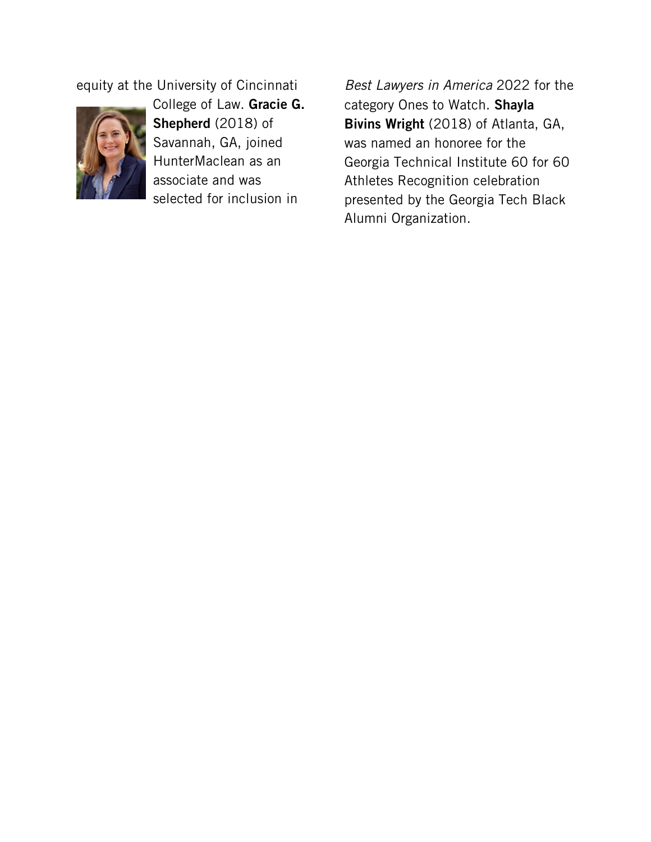equity at the University of Cincinnati



College of Law. Gracie G. Shepherd (2018) of Savannah, GA, joined HunterMaclean as an associate and was selected for inclusion in

*Best Lawyers in America* 2022 for the category Ones to Watch. Shayla Bivins Wright (2018) of Atlanta, GA, was named an honoree for the Georgia Technical Institute 60 for 60 Athletes Recognition celebration presented by the Georgia Tech Black Alumni Organization.